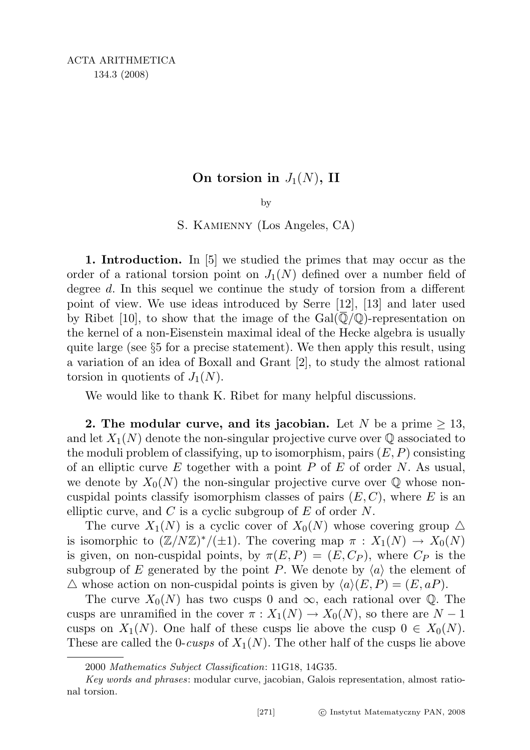## On torsion in  $J_1(N)$ , II

by

S. Kamienny (Los Angeles, CA)

1. Introduction. In [5] we studied the primes that may occur as the order of a rational torsion point on  $J_1(N)$  defined over a number field of degree d. In this sequel we continue the study of torsion from a different point of view. We use ideas introduced by Serre [12], [13] and later used by Ribet [10], to show that the image of the  $Gal(\mathbb{Q}/\mathbb{Q})$ -representation on the kernel of a non-Eisenstein maximal ideal of the Hecke algebra is usually quite large (see §5 for a precise statement). We then apply this result, using a variation of an idea of Boxall and Grant [2], to study the almost rational torsion in quotients of  $J_1(N)$ .

We would like to thank K. Ribet for many helpful discussions.

2. The modular curve, and its jacobian. Let N be a prime  $\geq 13$ , and let  $X_1(N)$  denote the non-singular projective curve over  $\mathbb Q$  associated to the moduli problem of classifying, up to isomorphism, pairs  $(E, P)$  consisting of an elliptic curve E together with a point P of E of order N. As usual, we denote by  $X_0(N)$  the non-singular projective curve over  $\mathbb Q$  whose noncuspidal points classify isomorphism classes of pairs  $(E, C)$ , where E is an elliptic curve, and  $C$  is a cyclic subgroup of  $E$  of order  $N$ .

The curve  $X_1(N)$  is a cyclic cover of  $X_0(N)$  whose covering group  $\Delta$ is isomorphic to  $(\mathbb{Z}/N\mathbb{Z})^*/(\pm 1)$ . The covering map  $\pi : X_1(N) \to X_0(N)$ is given, on non-cuspidal points, by  $\pi(E, P) = (E, C_P)$ , where  $C_P$  is the subgroup of E generated by the point P. We denote by  $\langle a \rangle$  the element of  $\triangle$  whose action on non-cuspidal points is given by  $\langle a \rangle(E, P) = (E, aP)$ .

The curve  $X_0(N)$  has two cusps 0 and  $\infty$ , each rational over Q. The cusps are unramified in the cover  $\pi : X_1(N) \to X_0(N)$ , so there are  $N-1$ cusps on  $X_1(N)$ . One half of these cusps lie above the cusp  $0 \in X_0(N)$ . These are called the 0-cusps of  $X_1(N)$ . The other half of the cusps lie above

<sup>2000</sup> Mathematics Subject Classification: 11G18, 14G35.

Key words and phrases: modular curve, jacobian, Galois representation, almost rational torsion.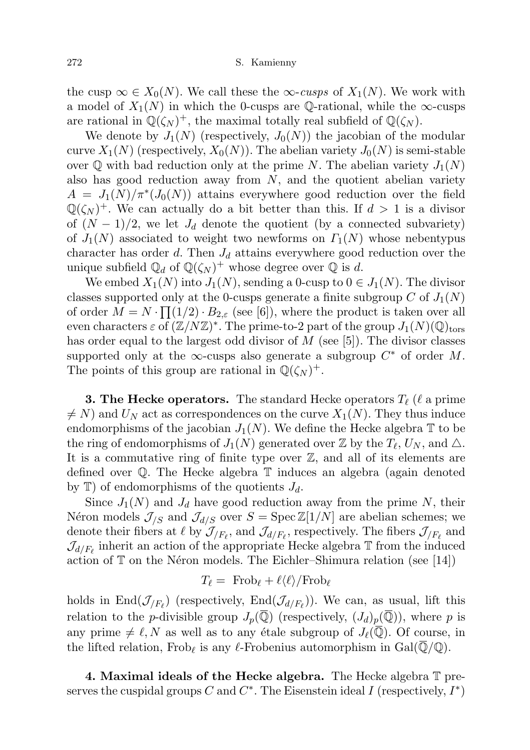the cusp  $\infty \in X_0(N)$ . We call these the  $\infty$ -cusps of  $X_1(N)$ . We work with a model of  $X_1(N)$  in which the 0-cusps are Q-rational, while the  $\infty$ -cusps are rational in  $\mathbb{Q}(\zeta_N)^+$ , the maximal totally real subfield of  $\mathbb{Q}(\zeta_N)$ .

We denote by  $J_1(N)$  (respectively,  $J_0(N)$ ) the jacobian of the modular curve  $X_1(N)$  (respectively,  $X_0(N)$ ). The abelian variety  $J_0(N)$  is semi-stable over  $\mathbb Q$  with bad reduction only at the prime N. The abelian variety  $J_1(N)$ also has good reduction away from  $N$ , and the quotient abelian variety  $A = J_1(N)/\pi^*(J_0(N))$  attains everywhere good reduction over the field  $\mathbb{Q}(\zeta_N)^+$ . We can actually do a bit better than this. If  $d > 1$  is a divisor of  $(N-1)/2$ , we let  $J_d$  denote the quotient (by a connected subvariety) of  $J_1(N)$  associated to weight two newforms on  $\Gamma_1(N)$  whose nebentypus character has order d. Then  $J_d$  attains everywhere good reduction over the unique subfield  $\mathbb{Q}_d$  of  $\mathbb{Q}(\zeta_N)^+$  whose degree over  $\mathbb Q$  is d.

We embed  $X_1(N)$  into  $J_1(N)$ , sending a 0-cusp to  $0 \in J_1(N)$ . The divisor classes supported only at the 0-cusps generate a finite subgroup C of  $J_1(N)$ of order  $M = N \cdot \prod_{i=1}^{n} (1/2) \cdot B_{2,\varepsilon}$  (see [6]), where the product is taken over all even characters  $\varepsilon$  of  $(\mathbb{Z}/N\mathbb{Z})^*$ . The prime-to-2 part of the group  $J_1(N)(\mathbb{Q})_{\text{tors}}$ has order equal to the largest odd divisor of  $M$  (see [5]). The divisor classes supported only at the  $\infty$ -cusps also generate a subgroup  $C^*$  of order M. The points of this group are rational in  $\mathbb{Q}(\zeta_N)^+$ .

**3. The Hecke operators.** The standard Hecke operators  $T_{\ell}$  ( $\ell$  a prime  $\neq N$ ) and  $U_N$  act as correspondences on the curve  $X_1(N)$ . They thus induce endomorphisms of the jacobian  $J_1(N)$ . We define the Hecke algebra T to be the ring of endomorphisms of  $J_1(N)$  generated over  $\mathbb Z$  by the  $T_\ell, U_N$ , and  $\triangle$ . It is a commutative ring of finite type over Z, and all of its elements are defined over Q. The Hecke algebra T induces an algebra (again denoted by  $\mathbb{T}$ ) of endomorphisms of the quotients  $J_d$ .

Since  $J_1(N)$  and  $J_d$  have good reduction away from the prime N, their Néron models  $\mathcal{J}_{/S}$  and  $\mathcal{J}_{d/S}$  over  $S = \text{Spec } \mathbb{Z}[1/N]$  are abelian schemes; we denote their fibers at  $\ell$  by  $\mathcal{J}_{/F_{\ell}}$ , and  $\mathcal{J}_{d/F_{\ell}}$ , respectively. The fibers  $\mathcal{J}_{/F_{\ell}}$  and  $\mathcal{J}_{d/F_{\ell}}$  inherit an action of the appropriate Hecke algebra  $\mathbb T$  from the induced action of  $\mathbb T$  on the Néron models. The Eichler–Shimura relation (see [14])

$$
T_{\ell} = \text{ Frob}_{\ell} + \ell \langle \ell \rangle / \text{Frob}_{\ell}
$$

holds in  $\text{End}(\mathcal{J}_{/F_{\ell}})$  (respectively,  $\text{End}(\mathcal{J}_{d/F_{\ell}})$ ). We can, as usual, lift this relation to the *p*-divisible group  $J_p(\overline{Q})$  (respectively,  $(J_d)_p(\overline{Q})$ ), where *p* is any prime  $\neq \ell, N$  as well as to any étale subgroup of  $J_{\ell}(\overline{Q})$ . Of course, in the lifted relation, Frob<sub>l</sub> is any l-Frobenius automorphism in Gal( $\overline{\mathbb{Q}}/\mathbb{Q}$ ).

4. Maximal ideals of the Hecke algebra. The Hecke algebra  $\mathbb T$  preserves the cuspidal groups C and  $C^*$ . The Eisenstein ideal I (respectively,  $I^*$ )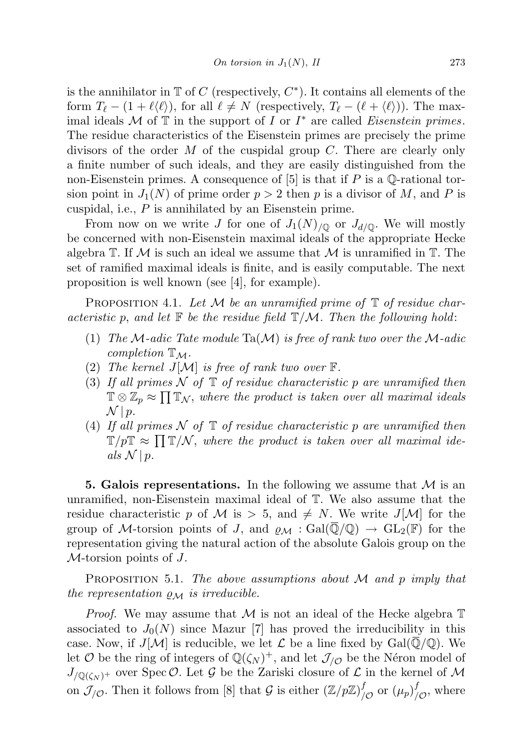is the annihilator in  $\mathbb T$  of C (respectively,  $C^*$ ). It contains all elements of the form  $T_{\ell} - (1 + \ell \langle \ell \rangle)$ , for all  $\ell \neq N$  (respectively,  $T_{\ell} - (\ell + \langle \ell \rangle)$ ). The maximal ideals  $\mathcal M$  of  $\overline{\mathbb T}$  in the support of  $I$  or  $I^*$  are called *Eisenstein primes*. The residue characteristics of the Eisenstein primes are precisely the prime divisors of the order  $M$  of the cuspidal group  $C$ . There are clearly only a finite number of such ideals, and they are easily distinguished from the non-Eisenstein primes. A consequence of  $[5]$  is that if P is a Q-rational torsion point in  $J_1(N)$  of prime order  $p > 2$  then p is a divisor of M, and P is cuspidal, i.e.,  $P$  is annihilated by an Eisenstein prime.

From now on we write J for one of  $J_1(N)_{\text{O}}$  or  $J_{d/\text{O}}$ . We will mostly be concerned with non-Eisenstein maximal ideals of the appropriate Hecke algebra  $\mathbb T$ . If M is such an ideal we assume that M is unramified in  $\mathbb T$ . The set of ramified maximal ideals is finite, and is easily computable. The next proposition is well known (see [4], for example).

PROPOSITION 4.1. Let M be an unramified prime of  $\mathbb T$  of residue characteristic p, and let  $\mathbb F$  be the residue field  $\mathbb T/\mathcal M$ . Then the following hold:

- (1) The M-adic Tate module Ta(M) is free of rank two over the M-adic completion  $\mathbb{T}_M$ .
- (2) The kernel  $J[\mathcal{M}]$  is free of rank two over  $\mathbb{F}$ .
- (3) If all primes  $\mathcal N$  of  $\mathbb T$  of residue characteristic p are unramified then  $\mathbb{T} \otimes \mathbb{Z}_p \approx \prod \mathbb{T}_{\mathcal{N}}$ , where the product is taken over all maximal ideals  $\mathcal{N} \mid p.$
- (4) If all primes  $\mathcal N$  of  $\mathbb T$  of residue characteristic p are unramified then  $\mathbb{T}/p\mathbb{T} \approx \prod \mathbb{T}/\mathcal{N}$ , where the product is taken over all maximal ideals  $\mathcal{N} \mid p$ .

**5. Galois representations.** In the following we assume that  $\mathcal{M}$  is an unramified, non-Eisenstein maximal ideal of T. We also assume that the residue characteristic p of M is  $> 5$ , and  $\neq N$ . We write J[M] for the group of M-torsion points of J, and  $\varrho_{\mathcal{M}} : \text{Gal}(\overline{\mathbb{Q}}/\mathbb{Q}) \to \text{GL}_2(\mathbb{F})$  for the representation giving the natural action of the absolute Galois group on the  $M$ -torsion points of  $J$ .

PROPOSITION 5.1. The above assumptions about  $M$  and  $p$  imply that the representation  $\rho_M$  is irreducible.

*Proof.* We may assume that M is not an ideal of the Hecke algebra  $\mathbb T$ associated to  $J_0(N)$  since Mazur [7] has proved the irreducibility in this case. Now, if  $J[\mathcal{M}]$  is reducible, we let  $\mathcal L$  be a line fixed by  $Gal(\overline{\mathbb{Q}}/\mathbb{Q})$ . We let  $\mathcal O$  be the ring of integers of  $\mathbb Q(\zeta_N)^+$ , and let  $\mathcal J_{/\mathcal O}$  be the Néron model of  $J_{\sqrt{\mathbb{Q}}(\zeta_N)^+}$  over Spec  $\mathcal{O}$ . Let  $\mathcal G$  be the Zariski closure of  $\mathcal L$  in the kernel of  $\mathcal M$ on  $\mathcal{J}_{/\mathcal{O}}$ . Then it follows from [8] that G is either  $(\mathbb{Z}/p\mathbb{Z})^f$  $\int_{\mathcal{O}}^{f}$  or  $(\mu_p)_{\ell}^{f}$  $\int_{\mathcal{O}}^{J}$ , where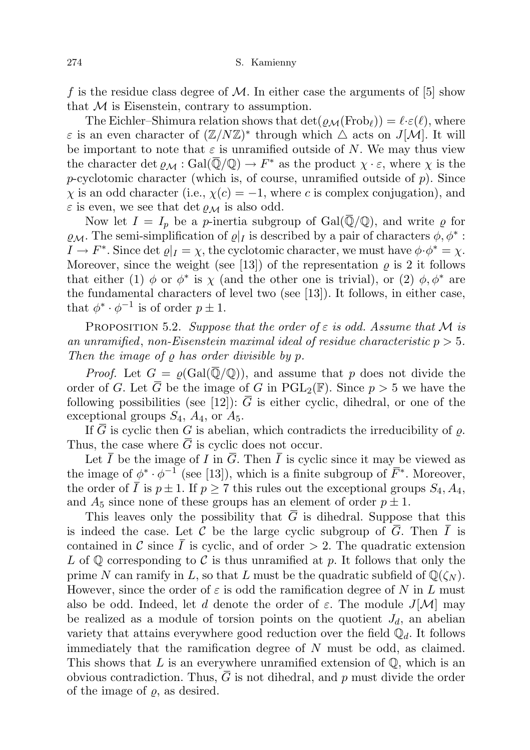f is the residue class degree of M. In either case the arguments of  $[5]$  show that  $M$  is Eisenstein, contrary to assumption.

The Eichler–Shimura relation shows that  $\det(\varrho_{\mathcal{M}}(\mathrm{Frob}_\ell)) = \ell \cdot \varepsilon(\ell)$ , where  $\varepsilon$  is an even character of  $(\mathbb{Z}/N\mathbb{Z})^*$  through which  $\Delta$  acts on  $J[\mathcal{M}]$ . It will be important to note that  $\varepsilon$  is unramified outside of N. We may thus view the character det  $\varrho_M : \text{Gal}(\overline{\mathbb{Q}}/\mathbb{Q}) \to F^*$  as the product  $\chi \cdot \varepsilon$ , where  $\chi$  is the  $p$ -cyclotomic character (which is, of course, unramified outside of  $p$ ). Since  $\chi$  is an odd character (i.e.,  $\chi(c) = -1$ , where c is complex conjugation), and  $\varepsilon$  is even, we see that det  $\rho_M$  is also odd.

Now let  $I = I_p$  be a p-inertia subgroup of Gal( $\overline{Q}/Q$ ), and write  $\rho$  for  $\varrho_{\mathcal{M}}$ . The semi-simplification of  $\varrho|_I$  is described by a pair of characters  $\phi, \phi^*$ :  $I \to F^*$ . Since det  $\varrho|_I = \chi$ , the cyclotomic character, we must have  $\phi \cdot \phi^* = \chi$ . Moreover, since the weight (see [13]) of the representation  $\rho$  is 2 it follows that either (1)  $\phi$  or  $\phi^*$  is  $\chi$  (and the other one is trivial), or (2)  $\phi$ ,  $\phi^*$  are the fundamental characters of level two (see [13]). It follows, in either case, that  $\phi^* \cdot \phi^{-1}$  is of order  $p \pm 1$ .

PROPOSITION 5.2. Suppose that the order of  $\varepsilon$  is odd. Assume that M is an unramified, non-Eisenstein maximal ideal of residue characteristic  $p > 5$ . Then the image of  $\rho$  has order divisible by  $p$ .

*Proof.* Let  $G = \rho(\text{Gal}(\overline{\mathbb{Q}}/\mathbb{Q}))$ , and assume that p does not divide the order of G. Let  $\overline{G}$  be the image of G in PGL<sub>2</sub>(F). Since  $p > 5$  we have the following possibilities (see [12]):  $\overline{G}$  is either cyclic, dihedral, or one of the exceptional groups  $S_4$ ,  $A_4$ , or  $A_5$ .

If  $\overline{G}$  is cyclic then G is abelian, which contradicts the irreducibility of  $\rho$ . Thus, the case where  $G$  is cyclic does not occur.

Let  $\overline{I}$  be the image of I in  $\overline{G}$ . Then  $\overline{I}$  is cyclic since it may be viewed as the image of  $\phi^* \cdot \phi^{-1}$  (see [13]), which is a finite subgroup of  $\bar{F}^*$ . Moreover, the order of  $\overline{I}$  is  $p \pm 1$ . If  $p \geq 7$  this rules out the exceptional groups  $S_4$ ,  $A_4$ , and  $A_5$  since none of these groups has an element of order  $p \pm 1$ .

This leaves only the possibility that  $G$  is dihedral. Suppose that this is indeed the case. Let C be the large cyclic subgroup of  $\overline{G}$ . Then  $\overline{I}$  is contained in C since  $\overline{I}$  is cyclic, and of order  $> 2$ . The quadratic extension L of  $\mathbb Q$  corresponding to C is thus unramified at p. It follows that only the prime N can ramify in L, so that L must be the quadratic subfield of  $\mathbb{Q}(\zeta_N)$ . However, since the order of  $\varepsilon$  is odd the ramification degree of N in L must also be odd. Indeed, let d denote the order of  $\varepsilon$ . The module  $J[\mathcal{M}]$  may be realized as a module of torsion points on the quotient  $J_d$ , an abelian variety that attains everywhere good reduction over the field  $\mathbb{Q}_d$ . It follows immediately that the ramification degree of  $N$  must be odd, as claimed. This shows that  $L$  is an everywhere unramified extension of  $\mathbb{Q}$ , which is an obvious contradiction. Thus,  $G$  is not dihedral, and  $p$  must divide the order of the image of  $\varrho$ , as desired.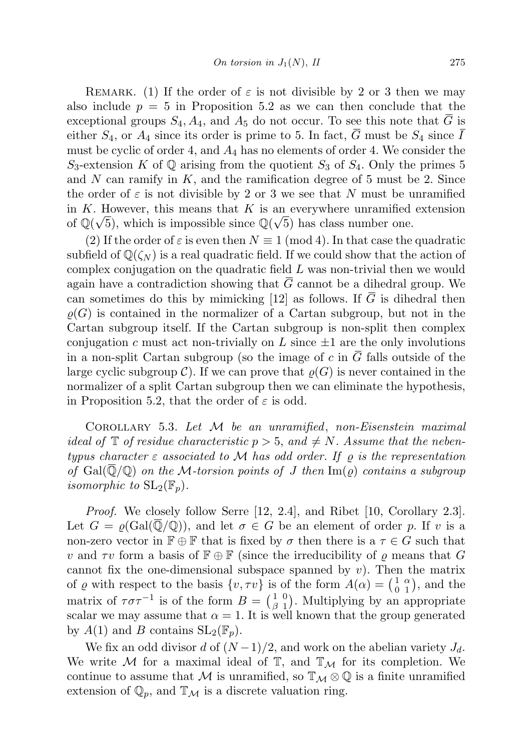REMARK. (1) If the order of  $\varepsilon$  is not divisible by 2 or 3 then we may also include  $p = 5$  in Proposition 5.2 as we can then conclude that the exceptional groups  $S_4$ ,  $A_4$ , and  $A_5$  do not occur. To see this note that  $\overline{G}$  is either  $S_4$ , or  $A_4$  since its order is prime to 5. In fact,  $\overline{G}$  must be  $S_4$  since  $\overline{I}$ must be cyclic of order 4, and  $A_4$  has no elements of order 4. We consider the  $S_3$ -extension K of Q arising from the quotient  $S_3$  of  $S_4$ . Only the primes 5 and N can ramify in  $K$ , and the ramification degree of 5 must be 2. Since the order of  $\varepsilon$  is not divisible by 2 or 3 we see that N must be unramified in K. However, this means that K is an everywhere unramified extension of  $\mathbb{Q}(\sqrt{5})$ , which is impossible since  $\mathbb{Q}(\sqrt{5})$  has class number one.

(2) If the order of  $\varepsilon$  is even then  $N \equiv 1 \pmod{4}$ . In that case the quadratic subfield of  $\mathbb{Q}(\zeta_N)$  is a real quadratic field. If we could show that the action of complex conjugation on the quadratic field L was non-trivial then we would again have a contradiction showing that  $\overline{G}$  cannot be a dihedral group. We can sometimes do this by mimicking [12] as follows. If  $\overline{G}$  is dihedral then  $\rho(G)$  is contained in the normalizer of a Cartan subgroup, but not in the Cartan subgroup itself. If the Cartan subgroup is non-split then complex conjugation c must act non-trivially on L since  $\pm 1$  are the only involutions in a non-split Cartan subgroup (so the image of c in  $\overline{G}$  falls outside of the large cyclic subgroup C). If we can prove that  $\rho(G)$  is never contained in the normalizer of a split Cartan subgroup then we can eliminate the hypothesis, in Proposition 5.2, that the order of  $\varepsilon$  is odd.

COROLLARY 5.3. Let  $M$  be an unramified, non-Eisenstein maximal ideal of  $\mathbb T$  of residue characteristic  $p > 5$ , and  $\neq N$ . Assume that the nebentypus character  $\varepsilon$  associated to M has odd order. If  $\rho$  is the representation of  $Gal(Q/Q)$  on the M-torsion points of J then  $Im(\varrho)$  contains a subgroup isomorphic to  $SL_2(\mathbb{F}_n)$ .

Proof. We closely follow Serre [12, 2.4], and Ribet [10, Corollary 2.3]. Let  $G = \rho(\text{Gal}(\overline{\mathbb{Q}}/\mathbb{Q}))$ , and let  $\sigma \in G$  be an element of order p. If v is a non-zero vector in  $\mathbb{F} \oplus \mathbb{F}$  that is fixed by  $\sigma$  then there is a  $\tau \in G$  such that v and  $\tau v$  form a basis of  $\mathbb{F} \oplus \mathbb{F}$  (since the irreducibility of  $\rho$  means that G cannot fix the one-dimensional subspace spanned by  $v$ ). Then the matrix of  $\varrho$  with respect to the basis  $\{v, \tau v\}$  is of the form  $A(\alpha) = \begin{pmatrix} 1 \\ 0 \end{pmatrix}$  $\mathbf 0$ α  $\binom{\alpha}{1}$ , and the matrix of  $\tau \sigma \tau^{-1}$  is of the form  $B = \begin{pmatrix} 1 \\ 0 \end{pmatrix}$ β 0  $\binom{0}{1}$ . Multiplying by an appropriate scalar we may assume that  $\alpha = 1$ . It is well known that the group generated by  $A(1)$  and B contains  $SL_2(\mathbb{F}_p)$ .

We fix an odd divisor d of  $(N-1)/2$ , and work on the abelian variety  $J_d$ . We write M for a maximal ideal of  $\mathbb{T}$ , and  $\mathbb{T}_M$  for its completion. We continue to assume that M is unramified, so  $\mathbb{T}_M \otimes \mathbb{Q}$  is a finite unramified extension of  $\mathbb{Q}_p$ , and  $\mathbb{T}_\mathcal{M}$  is a discrete valuation ring.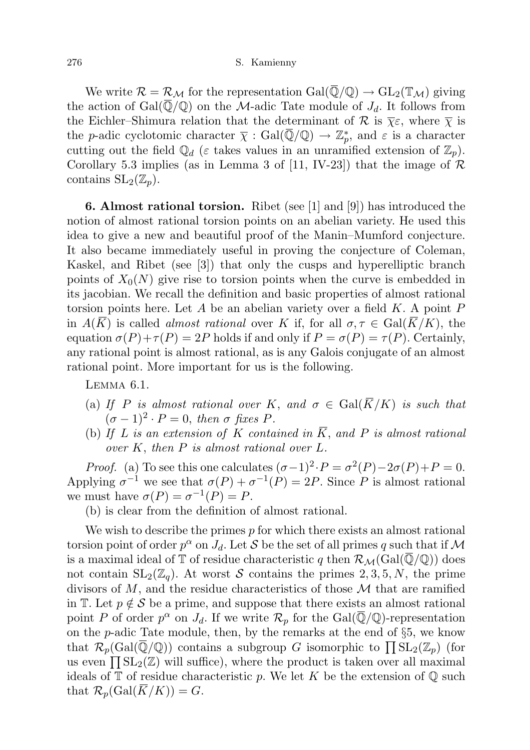We write  $\mathcal{R} = \mathcal{R}_{\mathcal{M}}$  for the representation  $Gal(\overline{\mathbb{Q}}/\mathbb{Q}) \to GL_2(\mathbb{T}_{\mathcal{M}})$  giving the action of Gal $(\overline{Q}/Q)$  on the M-adic Tate module of  $J_d$ . It follows from the Eichler–Shimura relation that the determinant of  $\mathcal R$  is  $\bar\chi\varepsilon$ , where  $\bar\chi$  is the *p*-adic cyclotomic character  $\bar{\chi}$  : Gal( $\bar{\mathbb{Q}}/\mathbb{Q}$ )  $\to \mathbb{Z}_p^*$ , and  $\varepsilon$  is a character cutting out the field  $\mathbb{Q}_d$  ( $\varepsilon$  takes values in an unramified extension of  $\mathbb{Z}_p$ ). Corollary 5.3 implies (as in Lemma 3 of [11, IV-23]) that the image of  $\mathcal R$ contains  $SL_2(\mathbb{Z}_p)$ .

6. Almost rational torsion. Ribet (see [1] and [9]) has introduced the notion of almost rational torsion points on an abelian variety. He used this idea to give a new and beautiful proof of the Manin–Mumford conjecture. It also became immediately useful in proving the conjecture of Coleman, Kaskel, and Ribet (see [3]) that only the cusps and hyperelliptic branch points of  $X_0(N)$  give rise to torsion points when the curve is embedded in its jacobian. We recall the definition and basic properties of almost rational torsion points here. Let A be an abelian variety over a field  $K$ . A point  $P$ in  $A(K)$  is called *almost rational* over K if, for all  $\sigma, \tau \in \text{Gal}(K/K)$ , the equation  $\sigma(P)+\tau(P)=2P$  holds if and only if  $P=\sigma(P)=\tau(P)$ . Certainly, any rational point is almost rational, as is any Galois conjugate of an almost rational point. More important for us is the following.

Lemma 6.1.

- (a) If P is almost rational over K, and  $\sigma \in \text{Gal}(\overline{K}/K)$  is such that  $(\sigma - 1)^2 \cdot P = 0$ , then  $\sigma$  fixes P.
- (b) If L is an extension of K contained in  $\overline{K}$ , and P is almost rational over K, then P is almost rational over L.

*Proof.* (a) To see this one calculates  $(\sigma - 1)^2 \cdot P = \sigma^2(P) - 2\sigma(P) + P = 0$ . Applying  $\sigma^{-1}$  we see that  $\sigma(P) + \sigma^{-1}(P) = 2P$ . Since P is almost rational we must have  $\sigma(P) = \sigma^{-1}(P) = P$ .

(b) is clear from the definition of almost rational.

We wish to describe the primes  $p$  for which there exists an almost rational torsion point of order  $p^{\alpha}$  on  $J_d$ . Let  $S$  be the set of all primes q such that if  $\mathcal M$ is a maximal ideal of T of residue characteristic q then  $\mathcal{R}_{\mathcal{M}}(\text{Gal}(\mathbb{Q}/\mathbb{Q}))$  does not contain  $SL_2(\mathbb{Z}_q)$ . At worst S contains the primes 2, 3, 5, N, the prime divisors of  $M$ , and the residue characteristics of those  $M$  that are ramified in T. Let  $p \notin \mathcal{S}$  be a prime, and suppose that there exists an almost rational point P of order  $p^{\alpha}$  on  $J_d$ . If we write  $\mathcal{R}_p$  for the Gal( $\overline{\mathbb{Q}}/\mathbb{Q}$ )-representation on the p-adic Tate module, then, by the remarks at the end of §5, we know that  $\mathcal{R}_p(\text{Gal}(\overline{\mathbb{Q}}/\mathbb{Q}))$  contains a subgroup G isomorphic to  $\prod \text{SL}_2(\mathbb{Z}_p)$  (for us even  $\prod_{i=1}^{n} SL_2(\mathbb{Z})$  will suffice), where the product is taken over all maximal ideals of  $\mathbb T$  of residue characteristic p. We let K be the extension of  $\mathbb Q$  such that  $\mathcal{R}_p(\text{Gal}(\overline{K}/K)) = G$ .